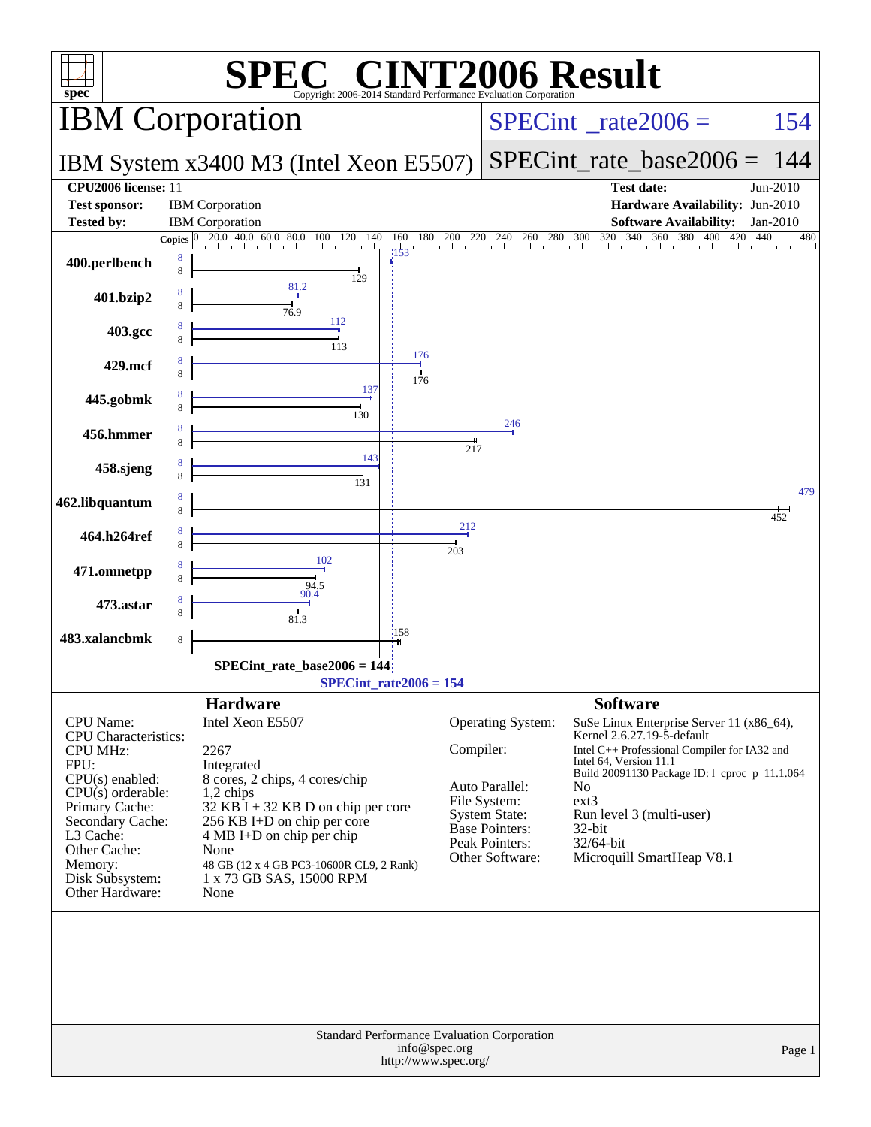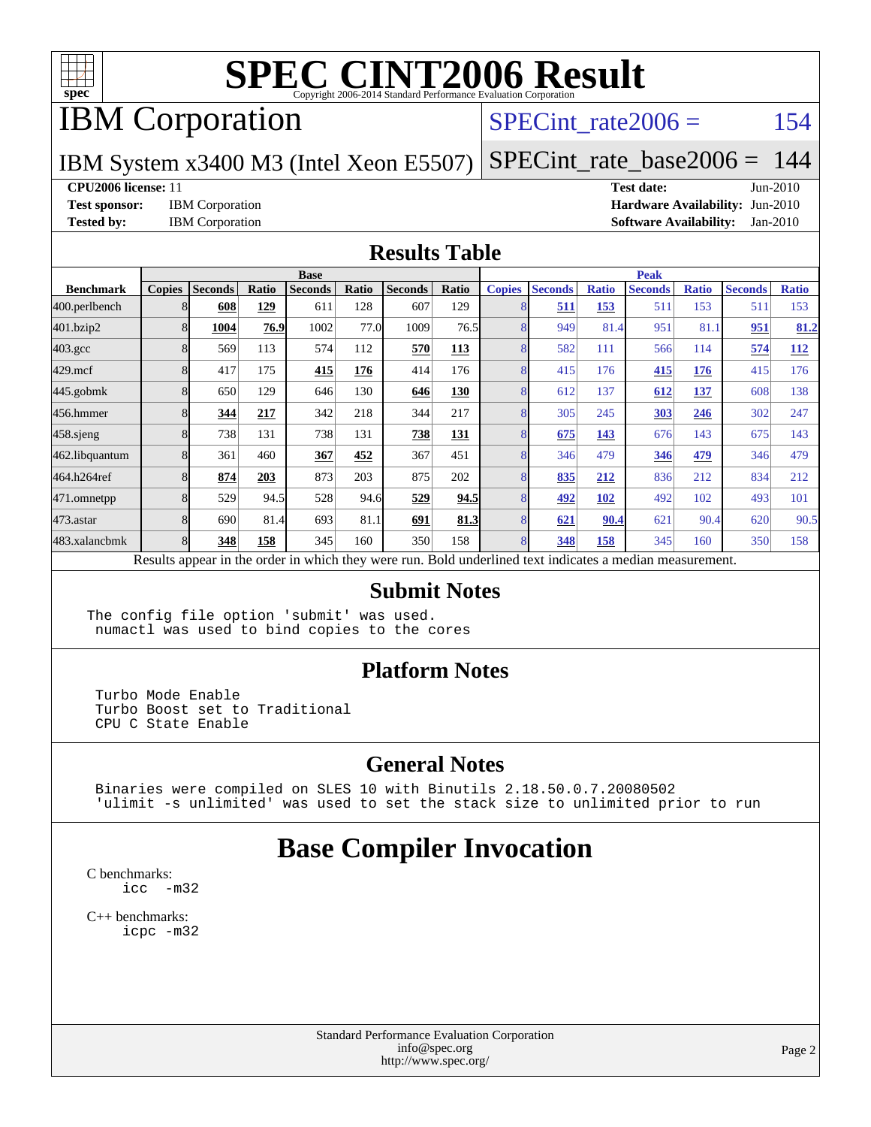

## IBM Corporation

#### SPECint rate $2006 = 154$

#### IBM System x3400 M3 (Intel Xeon E5507) [SPECint\\_rate\\_base2006 =](http://www.spec.org/auto/cpu2006/Docs/result-fields.html#SPECintratebase2006) 144

**[CPU2006 license:](http://www.spec.org/auto/cpu2006/Docs/result-fields.html#CPU2006license)** 11 **[Test date:](http://www.spec.org/auto/cpu2006/Docs/result-fields.html#Testdate)** Jun-2010

**[Test sponsor:](http://www.spec.org/auto/cpu2006/Docs/result-fields.html#Testsponsor)** IBM Corporation **[Hardware Availability:](http://www.spec.org/auto/cpu2006/Docs/result-fields.html#HardwareAvailability)** Jun-2010 **[Tested by:](http://www.spec.org/auto/cpu2006/Docs/result-fields.html#Testedby)** IBM Corporation **[Software Availability:](http://www.spec.org/auto/cpu2006/Docs/result-fields.html#SoftwareAvailability)** Jan-2010

#### **[Results Table](http://www.spec.org/auto/cpu2006/Docs/result-fields.html#ResultsTable)**

|                    | <b>Base</b>   |                |       |                |       |                |       | <b>Peak</b>   |                                                                                                          |              |                |              |                |              |
|--------------------|---------------|----------------|-------|----------------|-------|----------------|-------|---------------|----------------------------------------------------------------------------------------------------------|--------------|----------------|--------------|----------------|--------------|
| <b>Benchmark</b>   | <b>Copies</b> | <b>Seconds</b> | Ratio | <b>Seconds</b> | Ratio | <b>Seconds</b> | Ratio | <b>Copies</b> | <b>Seconds</b>                                                                                           | <b>Ratio</b> | <b>Seconds</b> | <b>Ratio</b> | <b>Seconds</b> | <b>Ratio</b> |
| $ 400$ .perlbench  | 8             | 608            | 129   | 611            | 128   | 607            | 129   | 8             | 511                                                                                                      | 153          | 511            | 153          | 511            | 153          |
| 401.bzip2          | 8             | 1004           | 76.9  | 1002           | 77.0  | 1009           | 76.5  |               | 949                                                                                                      | 81.4         | 951            | 81.1         | 951            | 81.2         |
| $403.\mathrm{gcc}$ | 8             | 569            | 113   | 574            | 112   | 570            | 113   | 8             | 582                                                                                                      | 111          | 566            | 114          | 574            | <b>112</b>   |
| $429$ .mcf         | 8             | 417            | 175   | 415            | 176   | 414            | 176   | 8             | 415                                                                                                      | 176          | 415            | 176          | 415            | 176          |
| $445$ .gobm $k$    | 8             | 650            | 129   | 646            | 130   | 646            | 130   | 8             | 612                                                                                                      | 137          | 612            | 137          | 608            | 138          |
| 456.hmmer          | 8             | 344            | 217   | 342            | 218   | 344            | 217   | 8             | 305                                                                                                      | 245          | <u>303</u>     | 246          | 302            | 247          |
| $458$ .sjeng       | 8             | 738            | 131   | 738            | 131   | 738            | 131   | 8             | 675                                                                                                      | 143          | 676            | 143          | 675            | 143          |
| 462.libquantum     | 8             | 361            | 460   | 367            | 452   | 367            | 451   | 8             | 346                                                                                                      | 479          | 346            | 479          | 346            | 479          |
| 464.h264ref        | 8             | 874            | 203   | 873            | 203   | 875            | 202   |               | 835                                                                                                      | 212          | 836            | 212          | 834            | 212          |
| 471.omnetpp        | 8             | 529            | 94.5  | 528            | 94.6  | 529            | 94.5  | 8             | 492                                                                                                      | <b>102</b>   | 492            | 102          | 493            | 101          |
| $473$ . astar      | 8             | 690            | 81.4  | 693            | 81.1  | 691            | 81.3  | 8             | 621                                                                                                      | 90.4         | 621            | 90.4         | 620            | 90.5         |
| 483.xalancbmk      | 8             | 348            | 158   | 345            | 160   | 350            | 158   | 8             | 348                                                                                                      | 158          | 345            | 160          | 350            | 158          |
|                    |               |                |       |                |       |                |       |               | Results appear in the order in which they were run. Bold underlined text indicates a median measurement. |              |                |              |                |              |

#### **[Submit Notes](http://www.spec.org/auto/cpu2006/Docs/result-fields.html#SubmitNotes)**

The config file option 'submit' was used. numactl was used to bind copies to the cores

#### **[Platform Notes](http://www.spec.org/auto/cpu2006/Docs/result-fields.html#PlatformNotes)**

 Turbo Mode Enable Turbo Boost set to Traditional CPU C State Enable

#### **[General Notes](http://www.spec.org/auto/cpu2006/Docs/result-fields.html#GeneralNotes)**

 Binaries were compiled on SLES 10 with Binutils 2.18.50.0.7.20080502 'ulimit -s unlimited' was used to set the stack size to unlimited prior to run

### **[Base Compiler Invocation](http://www.spec.org/auto/cpu2006/Docs/result-fields.html#BaseCompilerInvocation)**

[C benchmarks](http://www.spec.org/auto/cpu2006/Docs/result-fields.html#Cbenchmarks): [icc -m32](http://www.spec.org/cpu2006/results/res2010q3/cpu2006-20100719-12506.flags.html#user_CCbase_intel_icc_32bit_5ff4a39e364c98233615fdd38438c6f2)

[C++ benchmarks:](http://www.spec.org/auto/cpu2006/Docs/result-fields.html#CXXbenchmarks) [icpc -m32](http://www.spec.org/cpu2006/results/res2010q3/cpu2006-20100719-12506.flags.html#user_CXXbase_intel_icpc_32bit_4e5a5ef1a53fd332b3c49e69c3330699)

> Standard Performance Evaluation Corporation [info@spec.org](mailto:info@spec.org) <http://www.spec.org/>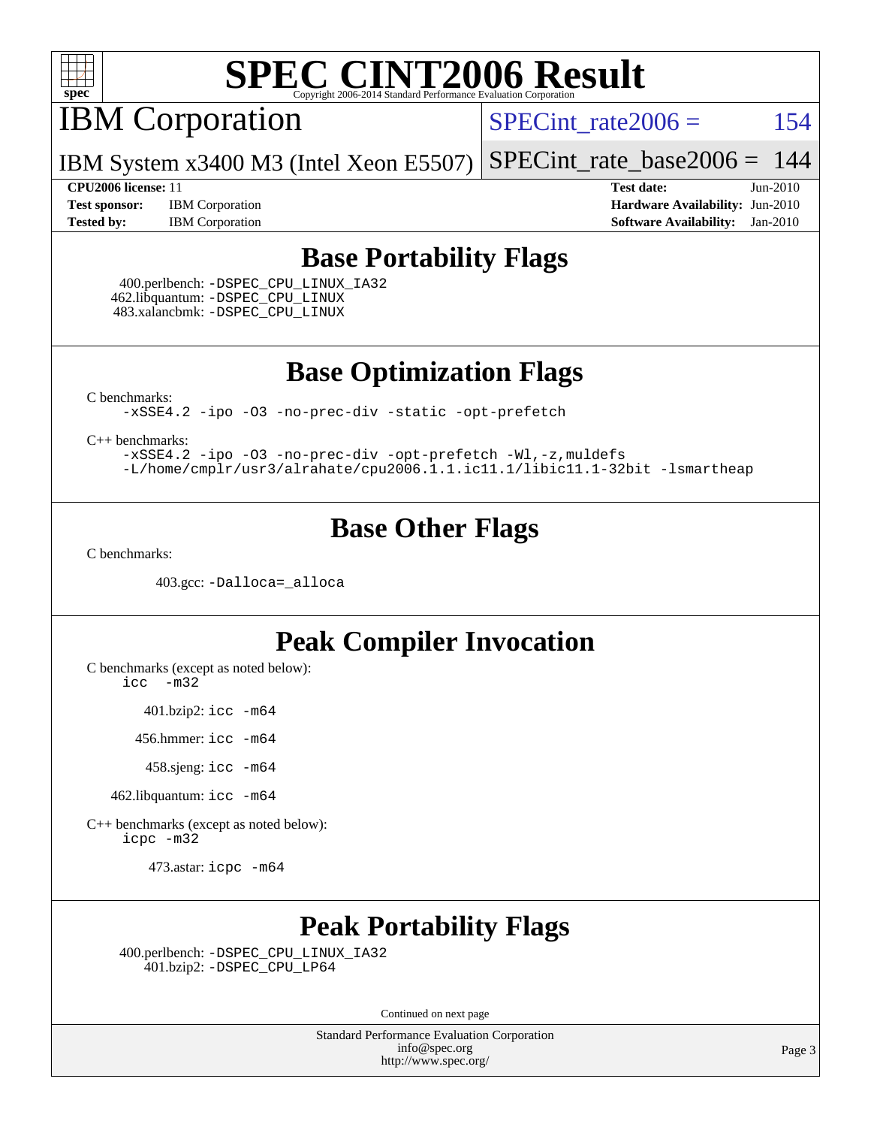

IBM Corporation

 $SPECTnt_rate2006 = 154$ 

IBM System x3400 M3 (Intel Xeon E5507) [SPECint\\_rate\\_base2006 =](http://www.spec.org/auto/cpu2006/Docs/result-fields.html#SPECintratebase2006) 144

**[Test sponsor:](http://www.spec.org/auto/cpu2006/Docs/result-fields.html#Testsponsor)** IBM Corporation **[Hardware Availability:](http://www.spec.org/auto/cpu2006/Docs/result-fields.html#HardwareAvailability)** Jun-2010 **[Tested by:](http://www.spec.org/auto/cpu2006/Docs/result-fields.html#Testedby)** IBM Corporation **[Software Availability:](http://www.spec.org/auto/cpu2006/Docs/result-fields.html#SoftwareAvailability)** Jan-2010

**[CPU2006 license:](http://www.spec.org/auto/cpu2006/Docs/result-fields.html#CPU2006license)** 11 **[Test date:](http://www.spec.org/auto/cpu2006/Docs/result-fields.html#Testdate)** Jun-2010

#### **[Base Portability Flags](http://www.spec.org/auto/cpu2006/Docs/result-fields.html#BasePortabilityFlags)**

 400.perlbench: [-DSPEC\\_CPU\\_LINUX\\_IA32](http://www.spec.org/cpu2006/results/res2010q3/cpu2006-20100719-12506.flags.html#b400.perlbench_baseCPORTABILITY_DSPEC_CPU_LINUX_IA32) 462.libquantum: [-DSPEC\\_CPU\\_LINUX](http://www.spec.org/cpu2006/results/res2010q3/cpu2006-20100719-12506.flags.html#b462.libquantum_baseCPORTABILITY_DSPEC_CPU_LINUX) 483.xalancbmk: [-DSPEC\\_CPU\\_LINUX](http://www.spec.org/cpu2006/results/res2010q3/cpu2006-20100719-12506.flags.html#b483.xalancbmk_baseCXXPORTABILITY_DSPEC_CPU_LINUX)

**[Base Optimization Flags](http://www.spec.org/auto/cpu2006/Docs/result-fields.html#BaseOptimizationFlags)**

[C benchmarks](http://www.spec.org/auto/cpu2006/Docs/result-fields.html#Cbenchmarks):

[-xSSE4.2](http://www.spec.org/cpu2006/results/res2010q3/cpu2006-20100719-12506.flags.html#user_CCbase_f-xSSE42_f91528193cf0b216347adb8b939d4107) [-ipo](http://www.spec.org/cpu2006/results/res2010q3/cpu2006-20100719-12506.flags.html#user_CCbase_f-ipo) [-O3](http://www.spec.org/cpu2006/results/res2010q3/cpu2006-20100719-12506.flags.html#user_CCbase_f-O3) [-no-prec-div](http://www.spec.org/cpu2006/results/res2010q3/cpu2006-20100719-12506.flags.html#user_CCbase_f-no-prec-div) [-static](http://www.spec.org/cpu2006/results/res2010q3/cpu2006-20100719-12506.flags.html#user_CCbase_f-static) [-opt-prefetch](http://www.spec.org/cpu2006/results/res2010q3/cpu2006-20100719-12506.flags.html#user_CCbase_f-opt-prefetch)

[C++ benchmarks:](http://www.spec.org/auto/cpu2006/Docs/result-fields.html#CXXbenchmarks)

[-xSSE4.2](http://www.spec.org/cpu2006/results/res2010q3/cpu2006-20100719-12506.flags.html#user_CXXbase_f-xSSE42_f91528193cf0b216347adb8b939d4107) [-ipo](http://www.spec.org/cpu2006/results/res2010q3/cpu2006-20100719-12506.flags.html#user_CXXbase_f-ipo) [-O3](http://www.spec.org/cpu2006/results/res2010q3/cpu2006-20100719-12506.flags.html#user_CXXbase_f-O3) [-no-prec-div](http://www.spec.org/cpu2006/results/res2010q3/cpu2006-20100719-12506.flags.html#user_CXXbase_f-no-prec-div) [-opt-prefetch](http://www.spec.org/cpu2006/results/res2010q3/cpu2006-20100719-12506.flags.html#user_CXXbase_f-opt-prefetch) [-Wl,-z,muldefs](http://www.spec.org/cpu2006/results/res2010q3/cpu2006-20100719-12506.flags.html#user_CXXbase_link_force_multiple1_74079c344b956b9658436fd1b6dd3a8a) [-L/home/cmplr/usr3/alrahate/cpu2006.1.1.ic11.1/libic11.1-32bit -lsmartheap](http://www.spec.org/cpu2006/results/res2010q3/cpu2006-20100719-12506.flags.html#user_CXXbase_SmartHeap_d86dffe4a79b79ef8890d5cce17030c3)

#### **[Base Other Flags](http://www.spec.org/auto/cpu2006/Docs/result-fields.html#BaseOtherFlags)**

[C benchmarks](http://www.spec.org/auto/cpu2006/Docs/result-fields.html#Cbenchmarks):

403.gcc: [-Dalloca=\\_alloca](http://www.spec.org/cpu2006/results/res2010q3/cpu2006-20100719-12506.flags.html#b403.gcc_baseEXTRA_CFLAGS_Dalloca_be3056838c12de2578596ca5467af7f3)

#### **[Peak Compiler Invocation](http://www.spec.org/auto/cpu2006/Docs/result-fields.html#PeakCompilerInvocation)**

[C benchmarks \(except as noted below\)](http://www.spec.org/auto/cpu2006/Docs/result-fields.html#Cbenchmarksexceptasnotedbelow):

[icc -m32](http://www.spec.org/cpu2006/results/res2010q3/cpu2006-20100719-12506.flags.html#user_CCpeak_intel_icc_32bit_5ff4a39e364c98233615fdd38438c6f2)

401.bzip2: [icc -m64](http://www.spec.org/cpu2006/results/res2010q3/cpu2006-20100719-12506.flags.html#user_peakCCLD401_bzip2_intel_icc_64bit_bda6cc9af1fdbb0edc3795bac97ada53)

456.hmmer: [icc -m64](http://www.spec.org/cpu2006/results/res2010q3/cpu2006-20100719-12506.flags.html#user_peakCCLD456_hmmer_intel_icc_64bit_bda6cc9af1fdbb0edc3795bac97ada53)

458.sjeng: [icc -m64](http://www.spec.org/cpu2006/results/res2010q3/cpu2006-20100719-12506.flags.html#user_peakCCLD458_sjeng_intel_icc_64bit_bda6cc9af1fdbb0edc3795bac97ada53)

462.libquantum: [icc -m64](http://www.spec.org/cpu2006/results/res2010q3/cpu2006-20100719-12506.flags.html#user_peakCCLD462_libquantum_intel_icc_64bit_bda6cc9af1fdbb0edc3795bac97ada53)

[C++ benchmarks \(except as noted below\):](http://www.spec.org/auto/cpu2006/Docs/result-fields.html#CXXbenchmarksexceptasnotedbelow) [icpc -m32](http://www.spec.org/cpu2006/results/res2010q3/cpu2006-20100719-12506.flags.html#user_CXXpeak_intel_icpc_32bit_4e5a5ef1a53fd332b3c49e69c3330699)

473.astar: [icpc -m64](http://www.spec.org/cpu2006/results/res2010q3/cpu2006-20100719-12506.flags.html#user_peakCXXLD473_astar_intel_icpc_64bit_fc66a5337ce925472a5c54ad6a0de310)

### **[Peak Portability Flags](http://www.spec.org/auto/cpu2006/Docs/result-fields.html#PeakPortabilityFlags)**

 400.perlbench: [-DSPEC\\_CPU\\_LINUX\\_IA32](http://www.spec.org/cpu2006/results/res2010q3/cpu2006-20100719-12506.flags.html#b400.perlbench_peakCPORTABILITY_DSPEC_CPU_LINUX_IA32) 401.bzip2: [-DSPEC\\_CPU\\_LP64](http://www.spec.org/cpu2006/results/res2010q3/cpu2006-20100719-12506.flags.html#suite_peakCPORTABILITY401_bzip2_DSPEC_CPU_LP64)

Continued on next page

Standard Performance Evaluation Corporation [info@spec.org](mailto:info@spec.org) <http://www.spec.org/>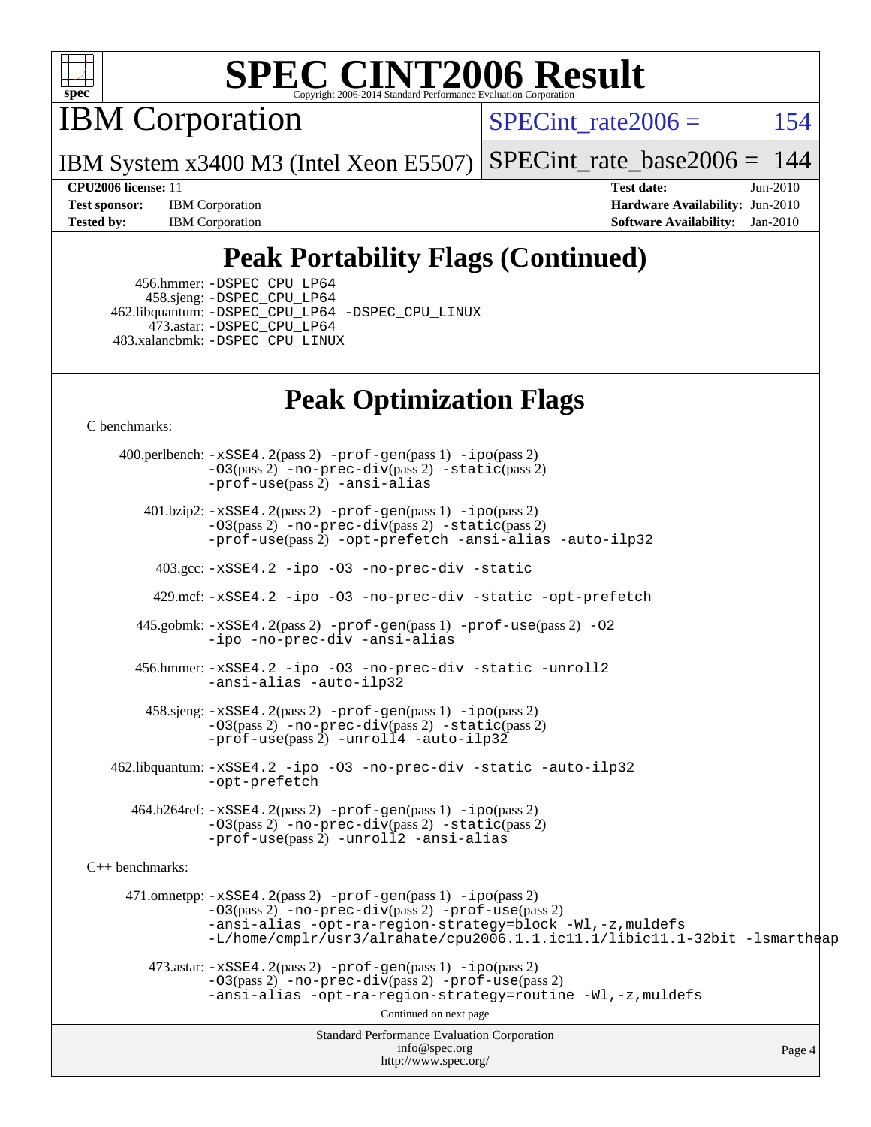

IBM Corporation

SPECint rate $2006 = 154$ 

IBM System x3400 M3 (Intel Xeon E5507) [SPECint\\_rate\\_base2006 =](http://www.spec.org/auto/cpu2006/Docs/result-fields.html#SPECintratebase2006)  $144$ 

**[Test sponsor:](http://www.spec.org/auto/cpu2006/Docs/result-fields.html#Testsponsor)** IBM Corporation **[Hardware Availability:](http://www.spec.org/auto/cpu2006/Docs/result-fields.html#HardwareAvailability)** Jun-2010 **[Tested by:](http://www.spec.org/auto/cpu2006/Docs/result-fields.html#Testedby)** IBM Corporation **[Software Availability:](http://www.spec.org/auto/cpu2006/Docs/result-fields.html#SoftwareAvailability)** Jan-2010

**[CPU2006 license:](http://www.spec.org/auto/cpu2006/Docs/result-fields.html#CPU2006license)** 11 **[Test date:](http://www.spec.org/auto/cpu2006/Docs/result-fields.html#Testdate)** Jun-2010

### **[Peak Portability Flags \(Continued\)](http://www.spec.org/auto/cpu2006/Docs/result-fields.html#PeakPortabilityFlags)**

 456.hmmer: [-DSPEC\\_CPU\\_LP64](http://www.spec.org/cpu2006/results/res2010q3/cpu2006-20100719-12506.flags.html#suite_peakCPORTABILITY456_hmmer_DSPEC_CPU_LP64) 458.sjeng: [-DSPEC\\_CPU\\_LP64](http://www.spec.org/cpu2006/results/res2010q3/cpu2006-20100719-12506.flags.html#suite_peakCPORTABILITY458_sjeng_DSPEC_CPU_LP64) 462.libquantum: [-DSPEC\\_CPU\\_LP64](http://www.spec.org/cpu2006/results/res2010q3/cpu2006-20100719-12506.flags.html#suite_peakCPORTABILITY462_libquantum_DSPEC_CPU_LP64) [-DSPEC\\_CPU\\_LINUX](http://www.spec.org/cpu2006/results/res2010q3/cpu2006-20100719-12506.flags.html#b462.libquantum_peakCPORTABILITY_DSPEC_CPU_LINUX) 473.astar: [-DSPEC\\_CPU\\_LP64](http://www.spec.org/cpu2006/results/res2010q3/cpu2006-20100719-12506.flags.html#suite_peakCXXPORTABILITY473_astar_DSPEC_CPU_LP64) 483.xalancbmk: [-DSPEC\\_CPU\\_LINUX](http://www.spec.org/cpu2006/results/res2010q3/cpu2006-20100719-12506.flags.html#b483.xalancbmk_peakCXXPORTABILITY_DSPEC_CPU_LINUX)

### **[Peak Optimization Flags](http://www.spec.org/auto/cpu2006/Docs/result-fields.html#PeakOptimizationFlags)**

[C benchmarks](http://www.spec.org/auto/cpu2006/Docs/result-fields.html#Cbenchmarks):

Standard Performance Evaluation Corporation [info@spec.org](mailto:info@spec.org) <http://www.spec.org/> Page 4 400.perlbench: [-xSSE4.2](http://www.spec.org/cpu2006/results/res2010q3/cpu2006-20100719-12506.flags.html#user_peakPASS2_CFLAGSPASS2_LDCFLAGS400_perlbench_f-xSSE42_f91528193cf0b216347adb8b939d4107)(pass 2) [-prof-gen](http://www.spec.org/cpu2006/results/res2010q3/cpu2006-20100719-12506.flags.html#user_peakPASS1_CFLAGSPASS1_LDCFLAGS400_perlbench_prof_gen_e43856698f6ca7b7e442dfd80e94a8fc)(pass 1) [-ipo](http://www.spec.org/cpu2006/results/res2010q3/cpu2006-20100719-12506.flags.html#user_peakPASS2_CFLAGSPASS2_LDCFLAGS400_perlbench_f-ipo)(pass 2) [-O3](http://www.spec.org/cpu2006/results/res2010q3/cpu2006-20100719-12506.flags.html#user_peakPASS2_CFLAGSPASS2_LDCFLAGS400_perlbench_f-O3)(pass 2) [-no-prec-div](http://www.spec.org/cpu2006/results/res2010q3/cpu2006-20100719-12506.flags.html#user_peakPASS2_CFLAGSPASS2_LDCFLAGS400_perlbench_f-no-prec-div)(pass 2) [-static](http://www.spec.org/cpu2006/results/res2010q3/cpu2006-20100719-12506.flags.html#user_peakPASS2_CFLAGSPASS2_LDCFLAGS400_perlbench_f-static)(pass 2) [-prof-use](http://www.spec.org/cpu2006/results/res2010q3/cpu2006-20100719-12506.flags.html#user_peakPASS2_CFLAGSPASS2_LDCFLAGS400_perlbench_prof_use_bccf7792157ff70d64e32fe3e1250b55)(pass 2) [-ansi-alias](http://www.spec.org/cpu2006/results/res2010q3/cpu2006-20100719-12506.flags.html#user_peakCOPTIMIZE400_perlbench_f-ansi-alias) 401.bzip2: [-xSSE4.2](http://www.spec.org/cpu2006/results/res2010q3/cpu2006-20100719-12506.flags.html#user_peakPASS2_CFLAGSPASS2_LDCFLAGS401_bzip2_f-xSSE42_f91528193cf0b216347adb8b939d4107)(pass 2) [-prof-gen](http://www.spec.org/cpu2006/results/res2010q3/cpu2006-20100719-12506.flags.html#user_peakPASS1_CFLAGSPASS1_LDCFLAGS401_bzip2_prof_gen_e43856698f6ca7b7e442dfd80e94a8fc)(pass 1) [-ipo](http://www.spec.org/cpu2006/results/res2010q3/cpu2006-20100719-12506.flags.html#user_peakPASS2_CFLAGSPASS2_LDCFLAGS401_bzip2_f-ipo)(pass 2) [-O3](http://www.spec.org/cpu2006/results/res2010q3/cpu2006-20100719-12506.flags.html#user_peakPASS2_CFLAGSPASS2_LDCFLAGS401_bzip2_f-O3)(pass 2) [-no-prec-div](http://www.spec.org/cpu2006/results/res2010q3/cpu2006-20100719-12506.flags.html#user_peakPASS2_CFLAGSPASS2_LDCFLAGS401_bzip2_f-no-prec-div)(pass 2) [-static](http://www.spec.org/cpu2006/results/res2010q3/cpu2006-20100719-12506.flags.html#user_peakPASS2_CFLAGSPASS2_LDCFLAGS401_bzip2_f-static)(pass 2) [-prof-use](http://www.spec.org/cpu2006/results/res2010q3/cpu2006-20100719-12506.flags.html#user_peakPASS2_CFLAGSPASS2_LDCFLAGS401_bzip2_prof_use_bccf7792157ff70d64e32fe3e1250b55)(pass 2) [-opt-prefetch](http://www.spec.org/cpu2006/results/res2010q3/cpu2006-20100719-12506.flags.html#user_peakCOPTIMIZE401_bzip2_f-opt-prefetch) [-ansi-alias](http://www.spec.org/cpu2006/results/res2010q3/cpu2006-20100719-12506.flags.html#user_peakCOPTIMIZE401_bzip2_f-ansi-alias) [-auto-ilp32](http://www.spec.org/cpu2006/results/res2010q3/cpu2006-20100719-12506.flags.html#user_peakCOPTIMIZE401_bzip2_f-auto-ilp32) 403.gcc: [-xSSE4.2](http://www.spec.org/cpu2006/results/res2010q3/cpu2006-20100719-12506.flags.html#user_peakCOPTIMIZE403_gcc_f-xSSE42_f91528193cf0b216347adb8b939d4107) [-ipo](http://www.spec.org/cpu2006/results/res2010q3/cpu2006-20100719-12506.flags.html#user_peakCOPTIMIZE403_gcc_f-ipo) [-O3](http://www.spec.org/cpu2006/results/res2010q3/cpu2006-20100719-12506.flags.html#user_peakCOPTIMIZE403_gcc_f-O3) [-no-prec-div](http://www.spec.org/cpu2006/results/res2010q3/cpu2006-20100719-12506.flags.html#user_peakCOPTIMIZE403_gcc_f-no-prec-div) [-static](http://www.spec.org/cpu2006/results/res2010q3/cpu2006-20100719-12506.flags.html#user_peakCOPTIMIZE403_gcc_f-static) 429.mcf: [-xSSE4.2](http://www.spec.org/cpu2006/results/res2010q3/cpu2006-20100719-12506.flags.html#user_peakCOPTIMIZE429_mcf_f-xSSE42_f91528193cf0b216347adb8b939d4107) [-ipo](http://www.spec.org/cpu2006/results/res2010q3/cpu2006-20100719-12506.flags.html#user_peakCOPTIMIZE429_mcf_f-ipo) [-O3](http://www.spec.org/cpu2006/results/res2010q3/cpu2006-20100719-12506.flags.html#user_peakCOPTIMIZE429_mcf_f-O3) [-no-prec-div](http://www.spec.org/cpu2006/results/res2010q3/cpu2006-20100719-12506.flags.html#user_peakCOPTIMIZE429_mcf_f-no-prec-div) [-static](http://www.spec.org/cpu2006/results/res2010q3/cpu2006-20100719-12506.flags.html#user_peakCOPTIMIZE429_mcf_f-static) [-opt-prefetch](http://www.spec.org/cpu2006/results/res2010q3/cpu2006-20100719-12506.flags.html#user_peakCOPTIMIZE429_mcf_f-opt-prefetch) 445.gobmk: [-xSSE4.2](http://www.spec.org/cpu2006/results/res2010q3/cpu2006-20100719-12506.flags.html#user_peakPASS2_CFLAGSPASS2_LDCFLAGS445_gobmk_f-xSSE42_f91528193cf0b216347adb8b939d4107)(pass 2) [-prof-gen](http://www.spec.org/cpu2006/results/res2010q3/cpu2006-20100719-12506.flags.html#user_peakPASS1_CFLAGSPASS1_LDCFLAGS445_gobmk_prof_gen_e43856698f6ca7b7e442dfd80e94a8fc)(pass 1) [-prof-use](http://www.spec.org/cpu2006/results/res2010q3/cpu2006-20100719-12506.flags.html#user_peakPASS2_CFLAGSPASS2_LDCFLAGS445_gobmk_prof_use_bccf7792157ff70d64e32fe3e1250b55)(pass 2) [-O2](http://www.spec.org/cpu2006/results/res2010q3/cpu2006-20100719-12506.flags.html#user_peakCOPTIMIZE445_gobmk_f-O2) [-ipo](http://www.spec.org/cpu2006/results/res2010q3/cpu2006-20100719-12506.flags.html#user_peakCOPTIMIZE445_gobmk_f-ipo) [-no-prec-div](http://www.spec.org/cpu2006/results/res2010q3/cpu2006-20100719-12506.flags.html#user_peakCOPTIMIZE445_gobmk_f-no-prec-div) [-ansi-alias](http://www.spec.org/cpu2006/results/res2010q3/cpu2006-20100719-12506.flags.html#user_peakCOPTIMIZE445_gobmk_f-ansi-alias) 456.hmmer: [-xSSE4.2](http://www.spec.org/cpu2006/results/res2010q3/cpu2006-20100719-12506.flags.html#user_peakCOPTIMIZE456_hmmer_f-xSSE42_f91528193cf0b216347adb8b939d4107) [-ipo](http://www.spec.org/cpu2006/results/res2010q3/cpu2006-20100719-12506.flags.html#user_peakCOPTIMIZE456_hmmer_f-ipo) [-O3](http://www.spec.org/cpu2006/results/res2010q3/cpu2006-20100719-12506.flags.html#user_peakCOPTIMIZE456_hmmer_f-O3) [-no-prec-div](http://www.spec.org/cpu2006/results/res2010q3/cpu2006-20100719-12506.flags.html#user_peakCOPTIMIZE456_hmmer_f-no-prec-div) [-static](http://www.spec.org/cpu2006/results/res2010q3/cpu2006-20100719-12506.flags.html#user_peakCOPTIMIZE456_hmmer_f-static) [-unroll2](http://www.spec.org/cpu2006/results/res2010q3/cpu2006-20100719-12506.flags.html#user_peakCOPTIMIZE456_hmmer_f-unroll_784dae83bebfb236979b41d2422d7ec2) [-ansi-alias](http://www.spec.org/cpu2006/results/res2010q3/cpu2006-20100719-12506.flags.html#user_peakCOPTIMIZE456_hmmer_f-ansi-alias) [-auto-ilp32](http://www.spec.org/cpu2006/results/res2010q3/cpu2006-20100719-12506.flags.html#user_peakCOPTIMIZE456_hmmer_f-auto-ilp32) 458.sjeng: [-xSSE4.2](http://www.spec.org/cpu2006/results/res2010q3/cpu2006-20100719-12506.flags.html#user_peakPASS2_CFLAGSPASS2_LDCFLAGS458_sjeng_f-xSSE42_f91528193cf0b216347adb8b939d4107)(pass 2) [-prof-gen](http://www.spec.org/cpu2006/results/res2010q3/cpu2006-20100719-12506.flags.html#user_peakPASS1_CFLAGSPASS1_LDCFLAGS458_sjeng_prof_gen_e43856698f6ca7b7e442dfd80e94a8fc)(pass 1) [-ipo](http://www.spec.org/cpu2006/results/res2010q3/cpu2006-20100719-12506.flags.html#user_peakPASS2_CFLAGSPASS2_LDCFLAGS458_sjeng_f-ipo)(pass 2) [-O3](http://www.spec.org/cpu2006/results/res2010q3/cpu2006-20100719-12506.flags.html#user_peakPASS2_CFLAGSPASS2_LDCFLAGS458_sjeng_f-O3)(pass 2) [-no-prec-div](http://www.spec.org/cpu2006/results/res2010q3/cpu2006-20100719-12506.flags.html#user_peakPASS2_CFLAGSPASS2_LDCFLAGS458_sjeng_f-no-prec-div)(pass 2) [-static](http://www.spec.org/cpu2006/results/res2010q3/cpu2006-20100719-12506.flags.html#user_peakPASS2_CFLAGSPASS2_LDCFLAGS458_sjeng_f-static)(pass 2) [-prof-use](http://www.spec.org/cpu2006/results/res2010q3/cpu2006-20100719-12506.flags.html#user_peakPASS2_CFLAGSPASS2_LDCFLAGS458_sjeng_prof_use_bccf7792157ff70d64e32fe3e1250b55)(pass 2) [-unroll4](http://www.spec.org/cpu2006/results/res2010q3/cpu2006-20100719-12506.flags.html#user_peakCOPTIMIZE458_sjeng_f-unroll_4e5e4ed65b7fd20bdcd365bec371b81f) [-auto-ilp32](http://www.spec.org/cpu2006/results/res2010q3/cpu2006-20100719-12506.flags.html#user_peakCOPTIMIZE458_sjeng_f-auto-ilp32) 462.libquantum: [-xSSE4.2](http://www.spec.org/cpu2006/results/res2010q3/cpu2006-20100719-12506.flags.html#user_peakCOPTIMIZE462_libquantum_f-xSSE42_f91528193cf0b216347adb8b939d4107) [-ipo](http://www.spec.org/cpu2006/results/res2010q3/cpu2006-20100719-12506.flags.html#user_peakCOPTIMIZE462_libquantum_f-ipo) [-O3](http://www.spec.org/cpu2006/results/res2010q3/cpu2006-20100719-12506.flags.html#user_peakCOPTIMIZE462_libquantum_f-O3) [-no-prec-div](http://www.spec.org/cpu2006/results/res2010q3/cpu2006-20100719-12506.flags.html#user_peakCOPTIMIZE462_libquantum_f-no-prec-div) [-static](http://www.spec.org/cpu2006/results/res2010q3/cpu2006-20100719-12506.flags.html#user_peakCOPTIMIZE462_libquantum_f-static) [-auto-ilp32](http://www.spec.org/cpu2006/results/res2010q3/cpu2006-20100719-12506.flags.html#user_peakCOPTIMIZE462_libquantum_f-auto-ilp32) [-opt-prefetch](http://www.spec.org/cpu2006/results/res2010q3/cpu2006-20100719-12506.flags.html#user_peakCOPTIMIZE462_libquantum_f-opt-prefetch) 464.h264ref: [-xSSE4.2](http://www.spec.org/cpu2006/results/res2010q3/cpu2006-20100719-12506.flags.html#user_peakPASS2_CFLAGSPASS2_LDCFLAGS464_h264ref_f-xSSE42_f91528193cf0b216347adb8b939d4107)(pass 2) [-prof-gen](http://www.spec.org/cpu2006/results/res2010q3/cpu2006-20100719-12506.flags.html#user_peakPASS1_CFLAGSPASS1_LDCFLAGS464_h264ref_prof_gen_e43856698f6ca7b7e442dfd80e94a8fc)(pass 1) [-ipo](http://www.spec.org/cpu2006/results/res2010q3/cpu2006-20100719-12506.flags.html#user_peakPASS2_CFLAGSPASS2_LDCFLAGS464_h264ref_f-ipo)(pass 2) [-O3](http://www.spec.org/cpu2006/results/res2010q3/cpu2006-20100719-12506.flags.html#user_peakPASS2_CFLAGSPASS2_LDCFLAGS464_h264ref_f-O3)(pass 2) [-no-prec-div](http://www.spec.org/cpu2006/results/res2010q3/cpu2006-20100719-12506.flags.html#user_peakPASS2_CFLAGSPASS2_LDCFLAGS464_h264ref_f-no-prec-div)(pass 2) [-static](http://www.spec.org/cpu2006/results/res2010q3/cpu2006-20100719-12506.flags.html#user_peakPASS2_CFLAGSPASS2_LDCFLAGS464_h264ref_f-static)(pass 2) [-prof-use](http://www.spec.org/cpu2006/results/res2010q3/cpu2006-20100719-12506.flags.html#user_peakPASS2_CFLAGSPASS2_LDCFLAGS464_h264ref_prof_use_bccf7792157ff70d64e32fe3e1250b55)(pass 2) [-unroll2](http://www.spec.org/cpu2006/results/res2010q3/cpu2006-20100719-12506.flags.html#user_peakCOPTIMIZE464_h264ref_f-unroll_784dae83bebfb236979b41d2422d7ec2) [-ansi-alias](http://www.spec.org/cpu2006/results/res2010q3/cpu2006-20100719-12506.flags.html#user_peakCOPTIMIZE464_h264ref_f-ansi-alias) [C++ benchmarks:](http://www.spec.org/auto/cpu2006/Docs/result-fields.html#CXXbenchmarks) 471.omnetpp: [-xSSE4.2](http://www.spec.org/cpu2006/results/res2010q3/cpu2006-20100719-12506.flags.html#user_peakPASS2_CXXFLAGSPASS2_LDCXXFLAGS471_omnetpp_f-xSSE42_f91528193cf0b216347adb8b939d4107)(pass 2) [-prof-gen](http://www.spec.org/cpu2006/results/res2010q3/cpu2006-20100719-12506.flags.html#user_peakPASS1_CXXFLAGSPASS1_LDCXXFLAGS471_omnetpp_prof_gen_e43856698f6ca7b7e442dfd80e94a8fc)(pass 1) [-ipo](http://www.spec.org/cpu2006/results/res2010q3/cpu2006-20100719-12506.flags.html#user_peakPASS2_CXXFLAGSPASS2_LDCXXFLAGS471_omnetpp_f-ipo)(pass 2) [-O3](http://www.spec.org/cpu2006/results/res2010q3/cpu2006-20100719-12506.flags.html#user_peakPASS2_CXXFLAGSPASS2_LDCXXFLAGS471_omnetpp_f-O3)(pass 2) [-no-prec-div](http://www.spec.org/cpu2006/results/res2010q3/cpu2006-20100719-12506.flags.html#user_peakPASS2_CXXFLAGSPASS2_LDCXXFLAGS471_omnetpp_f-no-prec-div)(pass 2) [-prof-use](http://www.spec.org/cpu2006/results/res2010q3/cpu2006-20100719-12506.flags.html#user_peakPASS2_CXXFLAGSPASS2_LDCXXFLAGS471_omnetpp_prof_use_bccf7792157ff70d64e32fe3e1250b55)(pass 2) [-ansi-alias](http://www.spec.org/cpu2006/results/res2010q3/cpu2006-20100719-12506.flags.html#user_peakCXXOPTIMIZE471_omnetpp_f-ansi-alias) [-opt-ra-region-strategy=block](http://www.spec.org/cpu2006/results/res2010q3/cpu2006-20100719-12506.flags.html#user_peakCXXOPTIMIZE471_omnetpp_f-opt-ra-region-strategy-block_a0a37c372d03933b2a18d4af463c1f69) [-Wl,-z,muldefs](http://www.spec.org/cpu2006/results/res2010q3/cpu2006-20100719-12506.flags.html#user_peakEXTRA_LDFLAGS471_omnetpp_link_force_multiple1_74079c344b956b9658436fd1b6dd3a8a) [-L/home/cmplr/usr3/alrahate/cpu2006.1.1.ic11.1/libic11.1-32bit -lsmartheap](http://www.spec.org/cpu2006/results/res2010q3/cpu2006-20100719-12506.flags.html#user_peakEXTRA_LIBS471_omnetpp_SmartHeap_d86dffe4a79b79ef8890d5cce17030c3)  $473.\text{astar: } -xSSE4$ .  $2(\text{pass 2})$   $-\text{prof-gen}(\text{pass 1})$   $-i\text{po}(\text{pass 2})$ [-O3](http://www.spec.org/cpu2006/results/res2010q3/cpu2006-20100719-12506.flags.html#user_peakPASS2_CXXFLAGSPASS2_LDCXXFLAGS473_astar_f-O3)(pass 2) [-no-prec-div](http://www.spec.org/cpu2006/results/res2010q3/cpu2006-20100719-12506.flags.html#user_peakPASS2_CXXFLAGSPASS2_LDCXXFLAGS473_astar_f-no-prec-div)(pass 2) [-prof-use](http://www.spec.org/cpu2006/results/res2010q3/cpu2006-20100719-12506.flags.html#user_peakPASS2_CXXFLAGSPASS2_LDCXXFLAGS473_astar_prof_use_bccf7792157ff70d64e32fe3e1250b55)(pass 2) [-ansi-alias](http://www.spec.org/cpu2006/results/res2010q3/cpu2006-20100719-12506.flags.html#user_peakCXXOPTIMIZE473_astar_f-ansi-alias) [-opt-ra-region-strategy=routine](http://www.spec.org/cpu2006/results/res2010q3/cpu2006-20100719-12506.flags.html#user_peakCXXOPTIMIZE473_astar_f-opt-ra-region-strategy-routine_ba086ea3b1d46a52e1238e2ca173ed44) [-Wl,-z,muldefs](http://www.spec.org/cpu2006/results/res2010q3/cpu2006-20100719-12506.flags.html#user_peakEXTRA_LDFLAGS473_astar_link_force_multiple1_74079c344b956b9658436fd1b6dd3a8a) Continued on next page